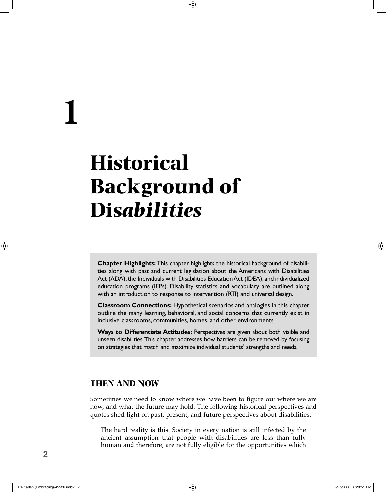# **1**

# **Historical Background of Dis***abilities*

**Chapter Highlights:** This chapter highlights the historical background of disabilities along with past and current legislation about the Americans with Disabilities Act (ADA), the Individuals with Disabilities Education Act (IDEA), and individualized education programs (IEPs). Disability statistics and vocabulary are outlined along with an introduction to response to intervention (RTI) and universal design.

**Classroom Connections:** Hypothetical scenarios and analogies in this chapter outline the many learning, behavioral, and social concerns that currently exist in inclusive classrooms, communities, homes, and other environments.

**Ways to Differentiate Attitudes:** Perspectives are given about both visible and unseen disabilities. This chapter addresses how barriers can be removed by focusing on strategies that match and maximize individual students' strengths and needs.

# **THEN AND NOW**

Sometimes we need to know where we have been to figure out where we are now, and what the future may hold. The following historical perspectives and quotes shed light on past, present, and future perspectives about disabilities.

The hard reality is this. Society in every nation is still infected by the ancient assumption that people with disabilities are less than fully human and therefore, are not fully eligible for the opportunities which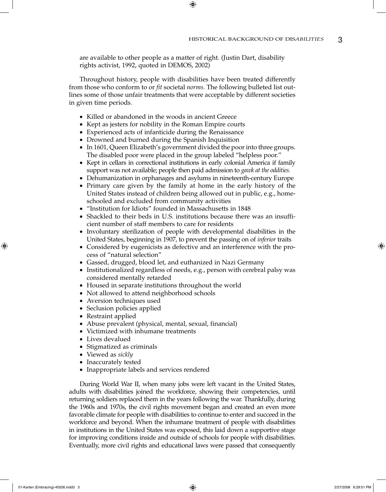are available to other people as a matter of right. (Justin Dart, disability rights activist, 1992, quoted in DEMOS, 2002)

Throughout history, people with disabilities have been treated differently from those who conform to or *fit* societal *norms.* The following bulleted list outlines some of those unfair treatments that were acceptable by different societies in given time periods.

- Killed or abandoned in the woods in ancient Greece
- Kept as jesters for nobility in the Roman Empire courts
- Experienced acts of infanticide during the Renaissance
- Drowned and burned during the Spanish Inquisition
- In 1601, Queen Elizabeth's government divided the poor into three groups. The disabled poor were placed in the group labeled "helpless poor."
- Kept in cellars in correctional institutions in early colonial America if family support was not available; people then paid admission to *gawk at the oddities.*
- Dehumanization in orphanages and asylums in nineteenth-century Europe
- Primary care given by the family at home in the early history of the United States instead of children being allowed out in public, e.g., homeschooled and excluded from community activities
- "Institution for Idiots" founded in Massachusetts in 1848
- Shackled to their beds in U.S. institutions because there was an insufficient number of staff members to care for residents
- Involuntary sterilization of people with developmental disabilities in the United States, beginning in 1907, to prevent the passing on of *inferior* traits
- Considered by eugenicists as defective and an interference with the process of "natural selection"
- Gassed, drugged, blood let, and euthanized in Nazi Germany
- Institutionalized regardless of needs, e.g., person with cerebral palsy was considered mentally retarded
- Housed in separate institutions throughout the world
- Not allowed to attend neighborhood schools
- Aversion techniques used
- Seclusion policies applied
- Restraint applied
- Abuse prevalent (physical, mental, sexual, financial)
- Victimized with inhumane treatments
- Lives devalued
- Stigmatized as criminals
- Viewed as *sickly*
- Inaccurately tested
- Inappropriate labels and services rendered

During World War II, when many jobs were left vacant in the United States, adults with disabilities joined the workforce, showing their competencies, until returning soldiers replaced them in the years following the war. Thankfully, during the 1960s and 1970s, the civil rights movement began and created an even more favorable climate for people with disabilities to continue to enter and succeed in the workforce and beyond. When the inhumane treatment of people with disabilities in institutions in the United States was exposed, this laid down a supportive stage for improving conditions inside and outside of schools for people with disabilities. Eventually, more civil rights and educational laws were passed that consequently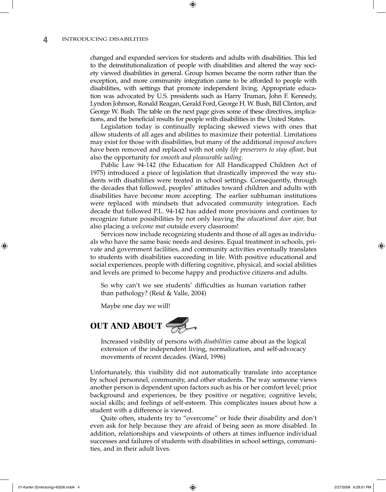changed and expanded services for students and adults with disabilities. This led to the deinstitutionalization of people with disabilities and altered the way society viewed disabilities in general. Group homes became the norm rather than the exception, and more community integration came to be afforded to people with disabilities, with settings that promote independent living. Appropriate education was advocated by U.S. presidents such as Harry Truman, John F. Kennedy, Lyndon Johnson, Ronald Reagan, Gerald Ford, George H. W. Bush, Bill Clinton, and George W. Bush. The table on the next page gives some of these directives, implications, and the beneficial results for people with disabilities in the United States.

Legislation today is continually replacing skewed views with ones that allow students of all ages and abilities to maximize their potential. Limitations may exist for those with disabilities, but many of the additional *imposed anchors*  have been removed and replaced with not only *life preservers to stay afloat,* but also the opportunity for *smooth and pleasurable sailing.*

Public Law 94-142 (the Education for All Handicapped Children Act of 1975) introduced a piece of legislation that drastically improved the way students with disabilities were treated in school settings. Consequently, through the decades that followed, peoples' attitudes toward children and adults with disabilities have become more accepting. The earlier subhuman institutions were replaced with mindsets that advocated community integration. Each decade that followed P.L. 94-142 has added more provisions and continues to recognize future possibilities by not only leaving the *educational door ajar,* but also placing a *welcome mat* outside every classroom!

Services now include recognizing students and those of all ages as individuals who have the same basic needs and desires. Equal treatment in schools, private and government facilities, and community activities eventually translates to students with disabilities succeeding in life. With positive educational and social experiences, people with differing cognitive, physical, and social abilities and levels are primed to become happy and productive citizens and adults.

So why can't we see students' difficulties as human variation rather than pathology? (Reid & Valle, 2004)

Maybe one day we will!



Increased visibility of persons with *disabilities* came about as the logical extension of the independent living, normalization, and self-advocacy movements of recent decades. (Ward, 1996)

Unfortunately, this visibility did not automatically translate into acceptance by school personnel, community, and other students. The way someone views another person is dependent upon factors such as his or her comfort level; prior background and experiences, be they positive or negative; cognitive levels; social skills; and feelings of self-esteem. This complicates issues about how a student with a difference is viewed.

Quite often, students try to "overcome" or hide their disability and don't even ask for help because they are afraid of being seen as more disabled. In addition, relationships and viewpoints of others at times influence individual successes and failures of students with disabilities in school settings, communities, and in their adult lives.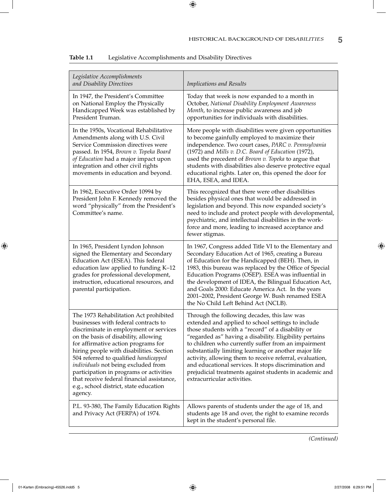| Legislative Accomplishments<br>and Disability Directives                                                                                                                                                                                                                                                                                                                                                                                                                                 | <b>Implications and Results</b>                                                                                                                                                                                                                                                                                                                                                                                                                                                                                                                  |
|------------------------------------------------------------------------------------------------------------------------------------------------------------------------------------------------------------------------------------------------------------------------------------------------------------------------------------------------------------------------------------------------------------------------------------------------------------------------------------------|--------------------------------------------------------------------------------------------------------------------------------------------------------------------------------------------------------------------------------------------------------------------------------------------------------------------------------------------------------------------------------------------------------------------------------------------------------------------------------------------------------------------------------------------------|
| In 1947, the President's Committee<br>on National Employ the Physically<br>Handicapped Week was established by<br>President Truman.                                                                                                                                                                                                                                                                                                                                                      | Today that week is now expanded to a month in<br>October, National Disability Employment Awareness<br>Month, to increase public awareness and job<br>opportunities for individuals with disabilities.                                                                                                                                                                                                                                                                                                                                            |
| In the 1950s, Vocational Rehabilitative<br>Amendments along with U.S. Civil<br>Service Commission directives were<br>passed. In 1954, Brown v. Topeka Board<br>of Education had a major impact upon<br>integration and other civil rights<br>movements in education and beyond.                                                                                                                                                                                                          | More people with disabilities were given opportunities<br>to become gainfully employed to maximize their<br>independence. Two court cases, PARC v. Pennsylvania<br>(1972) and Mills v. D.C. Board of Education (1972),<br>used the precedent of Brown v. Topeka to argue that<br>students with disabilities also deserve protective equal<br>educational rights. Later on, this opened the door for<br>EHA, ESEA, and IDEA.                                                                                                                      |
| In 1962, Executive Order 10994 by<br>President John F. Kennedy removed the<br>word "physically" from the President's<br>Committee's name.                                                                                                                                                                                                                                                                                                                                                | This recognized that there were other disabilities<br>besides physical ones that would be addressed in<br>legislation and beyond. This now expanded society's<br>need to include and protect people with developmental,<br>psychiatric, and intellectual disabilities in the work-<br>force and more, leading to increased acceptance and<br>fewer stigmas.                                                                                                                                                                                      |
| In 1965, President Lyndon Johnson<br>signed the Elementary and Secondary<br>Education Act (ESEA). This federal<br>education law applied to funding K-12<br>grades for professional development,<br>instruction, educational resources, and<br>parental participation.                                                                                                                                                                                                                    | In 1967, Congress added Title VI to the Elementary and<br>Secondary Education Act of 1965, creating a Bureau<br>of Education for the Handicapped (BEH). Then, in<br>1983, this bureau was replaced by the Office of Special<br>Education Programs (OSEP). ESEA was influential in<br>the development of IDEA, the Bilingual Education Act,<br>and Goals 2000: Educate America Act. In the years<br>2001-2002, President George W. Bush renamed ESEA<br>the No Child Left Behind Act (NCLB).                                                      |
| The 1973 Rehabilitation Act prohibited<br>businesses with federal contracts to<br>discriminate in employment or services<br>on the basis of disability, allowing<br>for affirmative action programs for<br>hiring people with disabilities. Section<br>504 referred to qualified handicapped<br><i>individuals</i> not being excluded from<br>participation in programs or activities<br>that receive federal financial assistance,<br>e.g., school district, state education<br>agency. | Through the following decades, this law was<br>extended and applied to school settings to include<br>those students with a "record" of a disability or<br>"regarded as" having a disability. Eligibility pertains<br>to children who currently suffer from an impairment<br>substantially limiting learning or another major life<br>activity, allowing them to receive referral, evaluation,<br>and educational services. It stops discrimination and<br>prejudicial treatments against students in academic and<br>extracurricular activities. |
| P.L. 93-380, The Family Education Rights<br>and Privacy Act (FERPA) of 1974.                                                                                                                                                                                                                                                                                                                                                                                                             | Allows parents of students under the age of 18, and<br>students age 18 and over, the right to examine records<br>kept in the student's personal file.                                                                                                                                                                                                                                                                                                                                                                                            |

| Table 1.1 | Legislative Accomplishments and Disability Directives |
|-----------|-------------------------------------------------------|
|           |                                                       |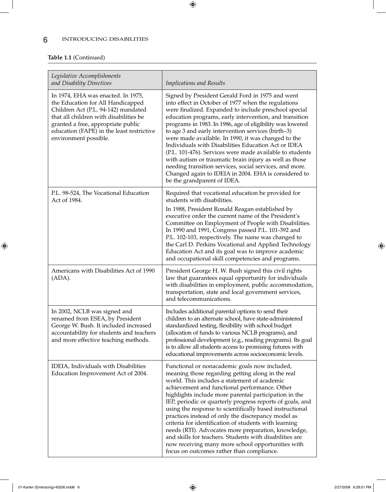# **Table 1.1** (Continued)

| Legislative Accomplishments<br>and Disability Directives                                                                                                                                                                                                             | <b>Implications and Results</b>                                                                                                                                                                                                                                                                                                                                                                                                                                                                                                                                                                                                                                                                                                     |
|----------------------------------------------------------------------------------------------------------------------------------------------------------------------------------------------------------------------------------------------------------------------|-------------------------------------------------------------------------------------------------------------------------------------------------------------------------------------------------------------------------------------------------------------------------------------------------------------------------------------------------------------------------------------------------------------------------------------------------------------------------------------------------------------------------------------------------------------------------------------------------------------------------------------------------------------------------------------------------------------------------------------|
| In 1974, EHA was enacted. In 1975,<br>the Education for All Handicapped<br>Children Act (P.L. 94-142) mandated<br>that all children with disabilities be<br>granted a free, appropriate public<br>education (FAPE) in the least restrictive<br>environment possible. | Signed by President Gerald Ford in 1975 and went<br>into effect in October of 1977 when the regulations<br>were finalized. Expanded to include preschool special<br>education programs, early intervention, and transition<br>programs in 1983. In 1986, age of eligibility was lowered<br>to age 3 and early intervention services (birth-3)<br>were made available. In 1990, it was changed to the<br>Individuals with Disabilities Education Act or IDEA<br>(P.L. 101-476). Services were made available to students<br>with autism or traumatic brain injury as well as those<br>needing transition services, social services, and more.<br>Changed again to IDEIA in 2004. EHA is considered to<br>be the grandparent of IDEA. |
| P.L. 98-524, The Vocational Education<br>Act of 1984.                                                                                                                                                                                                                | Required that vocational education be provided for<br>students with disabilities.<br>In 1988, President Ronald Reagan established by<br>executive order the current name of the President's<br>Committee on Employment of People with Disabilities.<br>In 1990 and 1991, Congress passed P.L. 101-392 and<br>P.L. 102-103, respectively. The name was changed to<br>the Carl D. Perkins Vocational and Applied Technology<br>Education Act and its goal was to improve academic<br>and occupational skill competencies and programs.                                                                                                                                                                                                |
| Americans with Disabilities Act of 1990<br>(ADA).                                                                                                                                                                                                                    | President George H. W. Bush signed this civil rights<br>law that guarantees equal opportunity for individuals<br>with disabilities in employment, public accommodation,<br>transportation, state and local government services,<br>and telecommunications.                                                                                                                                                                                                                                                                                                                                                                                                                                                                          |
| In 2002, NCLB was signed and<br>renamed from ESEA, by President<br>George W. Bush. It included increased<br>accountability for students and teachers<br>and more effective teaching methods.                                                                         | Includes additional parental options to send their<br>children to an alternate school, have state-administered<br>standardized testing, flexibility with school budget<br>(allocation of funds to various NCLB programs), and<br>professional development (e.g., reading programs). Its goal<br>is to allow all students access to promising futures with<br>educational improvements across socioeconomic levels.                                                                                                                                                                                                                                                                                                                  |
| IDEIA, Individuals with Disabilities<br>Education Improvement Act of 2004.                                                                                                                                                                                           | Functional or nonacademic goals now included,<br>meaning those regarding getting along in the real<br>world. This includes a statement of academic<br>achievement and functional performance. Other<br>highlights include more parental participation in the<br>IEP, periodic or quarterly progress reports of goals, and<br>using the response to scientifically based instructional<br>practices instead of only the discrepancy model as<br>criteria for identification of students with learning<br>needs (RTI). Advocates more preparation, knowledge,<br>and skills for teachers. Students with disabilities are<br>now receiving many more school opportunities with<br>focus on outcomes rather than compliance.            |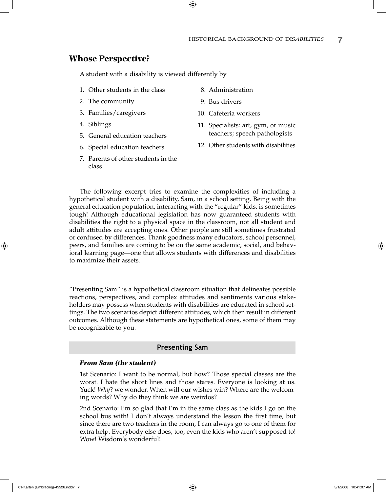# **Whose Perspective?**

A student with a disability is viewed differently by

- 1. Other students in the class
- 2. The community
- 3. Families/caregivers
- 4. Siblings
- 5. General education teachers
- 6. Special education teachers
- 7. Parents of other students in the class
- 8. Administration
- 9. Bus drivers
- 10. Cafeteria workers
- 11. Specialists: art, gym, or music teachers; speech pathologists
- 12. Other students with disabilities

The following excerpt tries to examine the complexities of including a hypothetical student with a disability, Sam, in a school setting. Being with the general education population, interacting with the "regular" kids, is sometimes tough! Although educational legislation has now guaranteed students with disabilities the right to a physical space in the classroom, not all student and adult attitudes are accepting ones. Other people are still sometimes frustrated or confused by differences. Thank goodness many educators, school personnel, peers, and families are coming to be on the same academic, social, and behavioral learning page—one that allows students with differences and disabilities to maximize their assets.

"Presenting Sam" is a hypothetical classroom situation that delineates possible reactions, perspectives, and complex attitudes and sentiments various stakeholders may possess when students with disabilities are educated in school settings. The two scenarios depict different attitudes, which then result in different outcomes. Although these statements are hypothetical ones, some of them may be recognizable to you.

#### **Presenting Sam**

#### *From Sam (the student)*

1st Scenario: I want to be normal, but how? Those special classes are the worst. I hate the short lines and those stares. Everyone is looking at us. Yuck! *Why*? we wonder. When will our wishes win? Where are the welcoming words? Why do they think we are weirdos?

2nd Scenario: I'm so glad that I'm in the same class as the kids I go on the school bus with! I don't always understand the lesson the first time, but since there are two teachers in the room, I can always go to one of them for extra help. Everybody else does, too, even the kids who aren't supposed to! Wow! Wisdom's wonderful!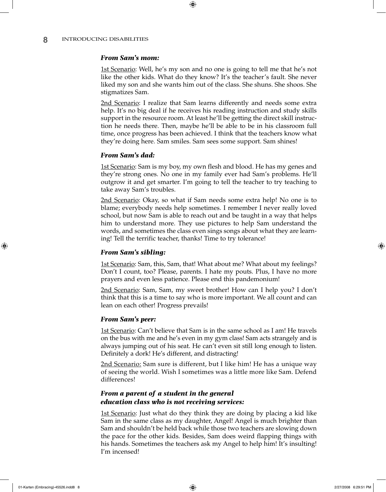#### *From Sam's mom:*

1st Scenario: Well, he's my son and no one is going to tell me that he's not like the other kids. What do they know? It's the teacher's fault. She never liked my son and she wants him out of the class. She shuns. She shoos. She stigmatizes Sam.

2nd Scenario: I realize that Sam learns differently and needs some extra help. It's no big deal if he receives his reading instruction and study skills support in the resource room. At least he'll be getting the direct skill instruction he needs there. Then, maybe he'll be able to be in his classroom full time, once progress has been achieved. I think that the teachers know what they're doing here. Sam smiles. Sam sees some support. Sam shines!

#### *From Sam's dad:*

1st Scenario: Sam is my boy, my own flesh and blood. He has my genes and they're strong ones. No one in my family ever had Sam's problems. He'll outgrow it and get smarter. I'm going to tell the teacher to try teaching to take away Sam's troubles.

2nd Scenario: Okay, so what if Sam needs some extra help! No one is to blame; everybody needs help sometimes. I remember I never really loved school, but now Sam is able to reach out and be taught in a way that helps him to understand more. They use pictures to help Sam understand the words, and sometimes the class even sings songs about what they are learning! Tell the terrific teacher, thanks! Time to try tolerance!

# *From Sam's sibling:*

1st Scenario: Sam, this, Sam, that! What about me? What about my feelings? Don't I count, too? Please, parents. I hate my pouts. Plus, I have no more prayers and even less patience. Please end this pandemonium!

2nd Scenario: Sam, Sam, my sweet brother! How can I help you? I don't think that this is a time to say who is more important. We all count and can lean on each other! Progress prevails!

#### *From Sam's peer:*

1st Scenario: Can't believe that Sam is in the same school as I am! He travels on the bus with me and he's even in my gym class! Sam acts strangely and is always jumping out of his seat. He can't even sit still long enough to listen. Definitely a dork! He's different, and distracting!

2nd Scenario: Sam sure is different, but I like him! He has a unique way of seeing the world. Wish I sometimes was a little more like Sam. Defend differences!

#### *From a parent of a student in the general education class who is not receiving services:*

1st Scenario: Just what do they think they are doing by placing a kid like Sam in the same class as my daughter, Angel! Angel is much brighter than Sam and shouldn't be held back while those two teachers are slowing down the pace for the other kids. Besides, Sam does weird flapping things with his hands. Sometimes the teachers ask my Angel to help him! It's insulting! I'm incensed!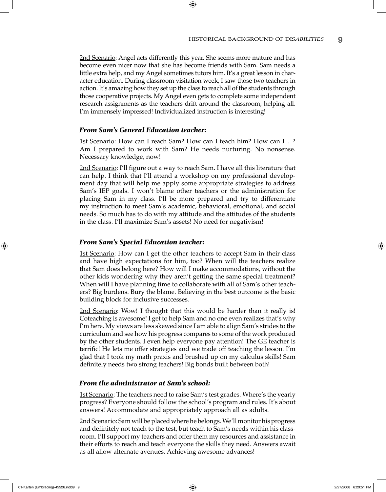2nd Scenario: Angel acts differently this year. She seems more mature and has become even nicer now that she has become friends with Sam. Sam needs a little extra help, and my Angel sometimes tutors him. It's a great lesson in character education. During classroom visitation week, I saw those two teachers in action. It's amazing how they set up the class to reach all of the students through those cooperative projects. My Angel even gets to complete some independent research assignments as the teachers drift around the classroom, helping all. I'm immensely impressed! Individualized instruction is interesting!

#### *From Sam's General Education teacher:*

1st Scenario: How can I reach Sam? How can I teach him? How can I...? Am I prepared to work with Sam? He needs nurturing. No nonsense. Necessary knowledge, now!

2nd Scenario: I'll figure out a way to reach Sam. I have all this literature that can help. I think that I'll attend a workshop on my professional development day that will help me apply some appropriate strategies to address Sam's IEP goals. I won't blame other teachers or the administration for placing Sam in my class. I'll be more prepared and try to differentiate my instruction to meet Sam's academic, behavioral, emotional, and social needs. So much has to do with my attitude and the attitudes of the students in the class. I'll maximize Sam's assets! No need for negativism!

#### *From Sam's Special Education teacher:*

1st Scenario: How can I get the other teachers to accept Sam in their class and have high expectations for him, too? When will the teachers realize that Sam does belong here? How will I make accommodations, without the other kids wondering why they aren't getting the same special treatment? When will I have planning time to collaborate with all of Sam's other teachers? Big burdens. Bury the blame. Believing in the best outcome is the basic building block for inclusive successes.

2nd Scenario: Wow! I thought that this would be harder than it really is! Coteaching is awesome! I get to help Sam and no one even realizes that's why I'm here. My views are less skewed since I am able to align Sam's strides to the curriculum and see how his progress compares to some of the work produced by the other students. I even help everyone pay attention! The GE teacher is terrific! He lets me offer strategies and we trade off teaching the lesson. I'm glad that I took my math praxis and brushed up on my calculus skills! Sam definitely needs two strong teachers! Big bonds built between both!

#### *From the administrator at Sam's school:*

<u>1st Scenario</u>: The teachers need to raise Sam's test grades. Where's the yearly progress? Everyone should follow the school's program and rules. It's about answers! Accommodate and appropriately approach all as adults.

2nd Scenario: Sam will be placed where he belongs. We'll monitor his progress and definitely not teach to the test, but teach to Sam's needs within his classroom. I'll support my teachers and offer them my resources and assistance in their efforts to reach and teach everyone the skills they need. Answers await as all allow alternate avenues. Achieving awesome advances!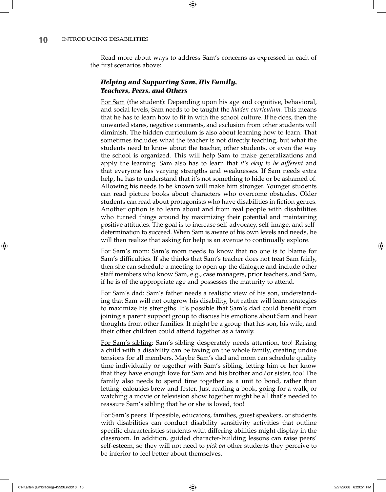Read more about ways to address Sam's concerns as expressed in each of the first scenarios above:

# *Helping and Supporting Sam, His Family, Teachers, Peers, and Others*

For Sam (the student): Depending upon his age and cognitive, behavioral, and social levels, Sam needs to be taught the *hidden curriculum.* This means that he has to learn how to fit in with the school culture. If he does, then the unwanted stares, negative comments, and exclusion from other students will diminish. The hidden curriculum is also about learning how to learn. That sometimes includes what the teacher is not directly teaching, but what the students need to know about the teacher, other students, or even the way the school is organized. This will help Sam to make generalizations and apply the learning. Sam also has to learn that *it's okay to be different* and that everyone has varying strengths and weaknesses. If Sam needs extra help, he has to understand that it's not something to hide or be ashamed of. Allowing his needs to be known will make him stronger. Younger students can read picture books about characters who overcome obstacles. Older students can read about protagonists who have disabilities in fiction genres. Another option is to learn about and from real people with disabilities who turned things around by maximizing their potential and maintaining positive attitudes. The goal is to increase self-advocacy, self-image, and selfdetermination to succeed. When Sam is aware of his own levels and needs, he will then realize that asking for help is an avenue to continually explore.

For Sam's mom: Sam's mom needs to know that no one is to blame for Sam's difficulties. If she thinks that Sam's teacher does not treat Sam fairly, then she can schedule a meeting to open up the dialogue and include other staff members who know Sam, e.g., case managers, prior teachers, and Sam, if he is of the appropriate age and possesses the maturity to attend.

For Sam's dad: Sam's father needs a realistic view of his son, understanding that Sam will not outgrow his disability, but rather will learn strategies to maximize his strengths. It's possible that Sam's dad could benefit from joining a parent support group to discuss his emotions about Sam and hear thoughts from other families. It might be a group that his son, his wife, and their other children could attend together as a family.

For Sam's sibling: Sam's sibling desperately needs attention, too! Raising a child with a disability can be taxing on the whole family, creating undue tensions for all members. Maybe Sam's dad and mom can schedule quality time individually or together with Sam's sibling, letting him or her know that they have enough love for Sam and his brother and/or sister, too! The family also needs to spend time together as a unit to bond, rather than letting jealousies brew and fester. Just reading a book, going for a walk, or watching a movie or television show together might be all that's needed to reassure Sam's sibling that he or she is loved, too!

For Sam's peers: If possible, educators, families, guest speakers, or students with disabilities can conduct disability sensitivity activities that outline specific characteristics students with differing abilities might display in the classroom. In addition, guided character-building lessons can raise peers' self-esteem, so they will not need to *pick on* other students they perceive to be inferior to feel better about themselves.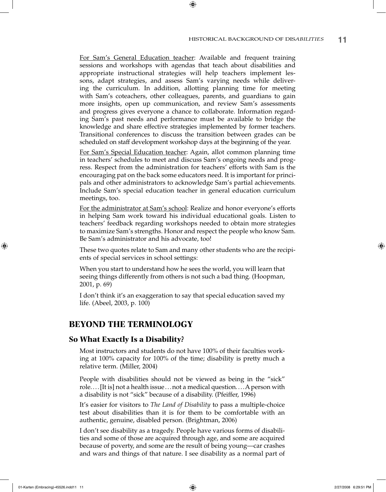For Sam's General Education teacher: Available and frequent training sessions and workshops with agendas that teach about disabilities and appropriate instructional strategies will help teachers implement lessons, adapt strategies, and assess Sam's varying needs while delivering the curriculum. In addition, allotting planning time for meeting with Sam's coteachers, other colleagues, parents, and guardians to gain more insights, open up communication, and review Sam's assessments and progress gives everyone a chance to collaborate. Information regarding Sam's past needs and performance must be available to bridge the knowledge and share effective strategies implemented by former teachers. Transitional conferences to discuss the transition between grades can be scheduled on staff development workshop days at the beginning of the year.

For Sam's Special Education teacher: Again, allot common planning time in teachers' schedules to meet and discuss Sam's ongoing needs and progress. Respect from the administration for teachers' efforts with Sam is the encouraging pat on the back some educators need. It is important for principals and other administrators to acknowledge Sam's partial achievements. Include Sam's special education teacher in general education curriculum meetings, too.

For the administrator at Sam's school: Realize and honor everyone's efforts in helping Sam work toward his individual educational goals. Listen to teachers' feedback regarding workshops needed to obtain more strategies to maximize Sam's strengths. Honor and respect the people who know Sam. Be Sam's administrator and his advocate, too!

 These two quotes relate to Sam and many other students who are the recipients of special services in school settings:

When you start to understand how he sees the world, you will learn that seeing things differently from others is not such a bad thing. (Hoopman, 2001, p. 69)

I don't think it's an exaggeration to say that special education saved my life. (Abeel, 2003, p. 100)

# **BEYOND THE TERMINOLOGY**

#### **So What Exactly Is a Disability?**

Most instructors and students do not have 100% of their faculties working at 100% capacity for 100% of the time; disability is pretty much a relative term. (Miller, 2004)

People with disabilities should not be viewed as being in the "sick" role.... [It is] not a health issue... not a medical question.... A person with a disability is not "sick" because of a disability. (Pfeiffer, 1996)

It's easier for visitors to *The Land of Disability* to pass a multiple-choice test about disabilities than it is for them to be comfortable with an authentic, genuine, disabled person. (Brightman, 2006)

I don't see disability as a tragedy. People have various forms of disabilities and some of those are acquired through age, and some are acquired because of poverty, and some are the result of being young—car crashes and wars and things of that nature. I see disability as a normal part of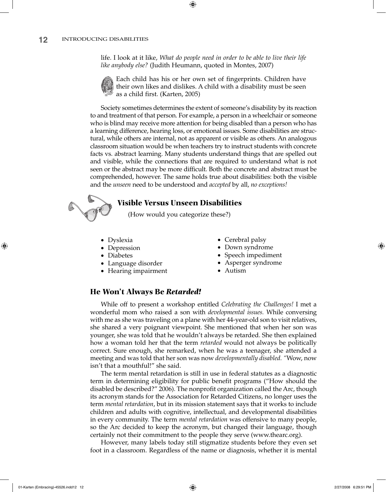life. I look at it like, *What do people need in order to be able to live their life like anybody else?* (Judith Heumann, quoted in Montes, 2007)



Each child has his or her own set of fingerprints. Children have their own likes and dislikes. A child with a disability must be seen as a child first. (Karten, 2005)

Society sometimes determines the extent of someone's disability by its reaction to and treatment of that person. For example, a person in a wheelchair or someone who is blind may receive more attention for being disabled than a person who has a learning difference, hearing loss, or emotional issues. Some disabilities are structural, while others are internal, not as apparent or visible as others. An analogous classroom situation would be when teachers try to instruct students with concrete facts vs. abstract learning. Many students understand things that are spelled out and visible, while the connections that are required to understand what is not seen or the abstract may be more difficult. Both the concrete and abstract must be comprehended, however. The same holds true about disabilities: both the visible and the *unseen* need to be understood and *accepted* by all, *no exceptions!*



(How would you categorize these?)

- Dyslexia
- Depression
- Diabetes
- Language disorder
- Hearing impairment
- Cerebral palsy
- Down syndrome
- Speech impediment
- Asperger syndrome
- Autism

# **He Won't Always Be** *Retarded!*

While off to present a workshop entitled *Celebrating the Challenges!* I met a wonderful mom who raised a son with *developmental issues.* While conversing with me as she was traveling on a plane with her 44-year-old son to visit relatives, she shared a very poignant viewpoint. She mentioned that when her son was younger, she was told that he wouldn't always be retarded. She then explained how a woman told her that the term *retarded* would not always be politically correct. Sure enough, she remarked, when he was a teenager, she attended a meeting and was told that her son was now *developmentally disabled. "*Wow, now isn't that a mouthful!" she said.

The term mental retardation is still in use in federal statutes as a diagnostic term in determining eligibility for public benefit programs ("How should the disabled be described?" 2006). The nonprofit organization called the Arc, though its acronym stands for the Association for Retarded Citizens, no longer uses the term *mental retardation*, but in its mission statement says that it works to include children and adults with cognitive, intellectual, and developmental disabilities in every community. The term *mental retardation* was offensive to many people, so the Arc decided to keep the acronym, but changed their language, though certainly not their commitment to the people they serve (www.thearc.org).

However, many labels today still stigmatize students before they even set foot in a classroom. Regardless of the name or diagnosis, whether it is mental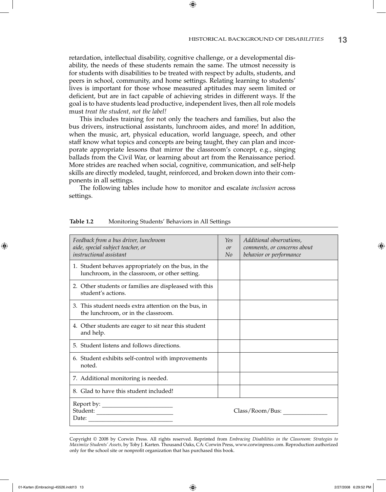retardation, intellectual disability, cognitive challenge, or a developmental disability, the needs of these students remain the same. The utmost necessity is for students with disabilities to be treated with respect by adults, students, and peers in school, community, and home settings. Relating learning to students' lives is important for those whose measured aptitudes may seem limited or deficient, but are in fact capable of achieving strides in different ways. If the goal is to have students lead productive, independent lives, then all role models must *treat the student, not the label!*

This includes training for not only the teachers and families, but also the bus drivers, instructional assistants, lunchroom aides, and more! In addition, when the music, art, physical education, world language, speech, and other staff know what topics and concepts are being taught, they can plan and incorporate appropriate lessons that mirror the classroom's concept, e.g., singing ballads from the Civil War, or learning about art from the Renaissance period. More strides are reached when social, cognitive, communication, and self-help skills are directly modeled, taught, reinforced, and broken down into their components in all settings.

The following tables include how to monitor and escalate *inclusion* across settings.

| Feedback from a bus driver, lunchroom<br>aide, special subject teacher, or<br>instructional assistant | Yes<br>or<br>N <sub>0</sub> | Additional observations,<br>comments, or concerns about<br>behavior or performance |
|-------------------------------------------------------------------------------------------------------|-----------------------------|------------------------------------------------------------------------------------|
| 1. Student behaves appropriately on the bus, in the<br>lunchroom, in the classroom, or other setting. |                             |                                                                                    |
| 2. Other students or families are displeased with this<br>student's actions.                          |                             |                                                                                    |
| 3. This student needs extra attention on the bus, in<br>the lunchroom, or in the classroom.           |                             |                                                                                    |
| 4. Other students are eager to sit near this student<br>and help.                                     |                             |                                                                                    |
| 5. Student listens and follows directions.                                                            |                             |                                                                                    |
| 6. Student exhibits self-control with improvements<br>noted.                                          |                             |                                                                                    |
| 7. Additional monitoring is needed.                                                                   |                             |                                                                                    |
| 8. Glad to have this student included!                                                                |                             |                                                                                    |
| Student:<br>Date:                                                                                     |                             | Class/Room/Bus:                                                                    |

**Table 1.2** Monitoring Students' Behaviors in All Settings

Copyright © 2008 by Corwin Press. All rights reserved. Reprinted from *Embracing Disabilities in the Classroom: Strategies to Maximize Students' Assets,* by Toby J. Karten. Thousand Oaks, CA: Corwin Press, www.corwinpress.com. Reproduction authorized only for the school site or nonprofit organization that has purchased this book.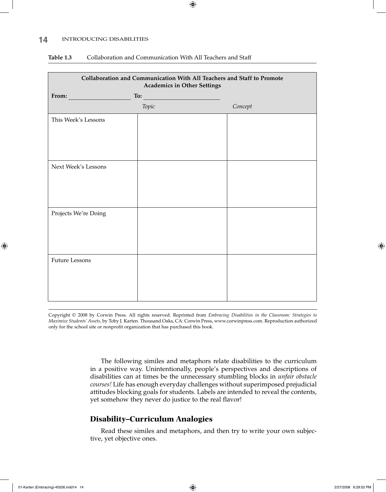| Collaboration and Communication With All Teachers and Staff to Promote<br><b>Academics in Other Settings</b> |       |         |
|--------------------------------------------------------------------------------------------------------------|-------|---------|
| From:                                                                                                        | To:   |         |
|                                                                                                              | Topic | Concept |
| This Week's Lessons                                                                                          |       |         |
| Next Week's Lessons                                                                                          |       |         |
| Projects We're Doing                                                                                         |       |         |
| <b>Future Lessons</b>                                                                                        |       |         |

#### **Table 1.3** Collaboration and Communication With All Teachers and Staff

Copyright © 2008 by Corwin Press. All rights reserved. Reprinted from *Embracing Disabilities in the Classroom: Strategies to Maximize Students' Assets,* by Toby J. Karten. Thousand Oaks, CA: Corwin Press, www.corwinpress.com. Reproduction authorized only for the school site or nonprofit organization that has purchased this book.

> The following similes and metaphors relate disabilities to the curriculum in a positive way. Unintentionally, people's perspectives and descriptions of disabilities can at times be the unnecessary stumbling blocks in *unfair obstacle courses!* Life has enough everyday challenges without superimposed prejudicial attitudes blocking goals for students. Labels are intended to reveal the contents, yet somehow they never do justice to the real flavor!

# **Disability–Curriculum Analogies**

Read these similes and metaphors, and then try to write your own subjective, yet objective ones.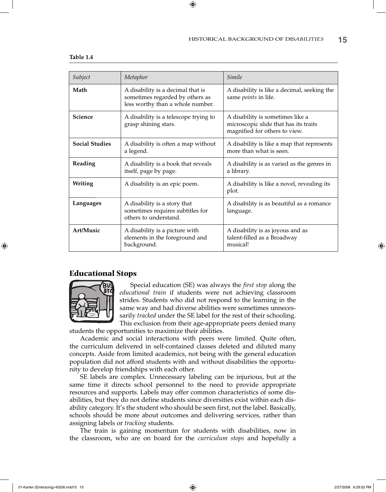| Subject               | Metaphor                                                                                                 | Simile                                                                                                     |
|-----------------------|----------------------------------------------------------------------------------------------------------|------------------------------------------------------------------------------------------------------------|
| Math                  | A disability is a decimal that is<br>sometimes regarded by others as<br>less worthy than a whole number. | A disability is like a decimal, seeking the<br>same <i>points</i> in life.                                 |
| Science               | A disability is a telescope trying to<br>grasp shining stars.                                            | A disability is sometimes like a<br>microscopic slide that has its traits<br>magnified for others to view. |
| <b>Social Studies</b> | A disability is often a map without<br>a legend.                                                         | A disability is like a map that represents<br>more than what is seen.                                      |
| Reading               | A disability is a book that reveals<br>itself, page by page.                                             | A disability is as varied as the genres in<br>a library.                                                   |
| Writing               | A disability is an epic poem.                                                                            | A disability is like a novel, revealing its<br>plot.                                                       |
| Languages             | A disability is a story that<br>sometimes requires subtitles for<br>others to understand.                | A disability is as beautiful as a romance<br>language.                                                     |
| Art/Music             | A disability is a picture with<br>elements in the foreground and<br>background.                          | A disability is as joyous and as<br>talent-filled as a Broadway<br>musical!                                |

# **Educational Stops**



Special education (SE) was always the *first stop* along the *educational train* if students were not achieving classroom strides. Students who did not respond to the learning in the same way and had diverse abilities were sometimes unnecessarily *tracked* under the SE label for the rest of their schooling. This exclusion from their age-appropriate peers denied many

students the opportunities to maximize their abilities.

Academic and social interactions with peers were limited. Quite often, the curriculum delivered in self-contained classes deleted and diluted many concepts. Aside from limited academics, not being with the general education population did not afford students with and without disabilities the opportunity to develop friendships with each other.

SE labels are complex. Unnecessary labeling can be injurious, but at the same time it directs school personnel to the need to provide appropriate resources and supports. Labels may offer common characteristics of some disabilities, but they do not define students since diversities exist within each disability category. It's the student who should be seen first, not the label. Basically, schools should be more about outcomes and delivering services, rather than assigning labels or *tracking* students.

The train is gaining momentum for students with disabilities, now in the classroom, who are on board for the *curriculum stops* and hopefully a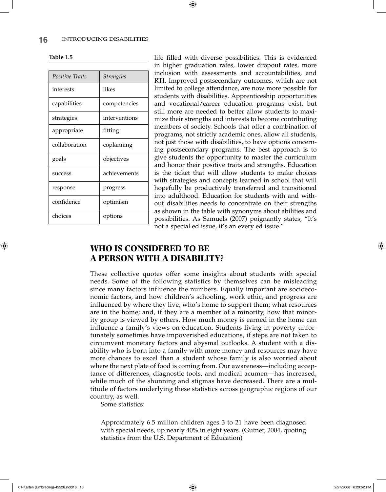| Table 1.5 |
|-----------|
|-----------|

| <i>Positive Traits</i> | <b>Strengths</b> |
|------------------------|------------------|
| interests              | likes            |
| capabilities           | competencies     |
| strategies             | interventions    |
| appropriate            | fitting          |
| collaboration          | coplanning       |
| goals                  | objectives       |
| success                | achievements     |
| response               | progress         |
| confidence             | optimism         |
| choices                | options          |

life filled with diverse possibilities. This is evidenced in higher graduation rates, lower dropout rates, more inclusion with assessments and accountabilities, and RTI. Improved postsecondary outcomes, which are not limited to college attendance, are now more possible for students with disabilities. Apprenticeship opportunities and vocational/career education programs exist, but still more are needed to better allow students to maximize their strengths and interests to become contributing members of society. Schools that offer a combination of programs, not strictly academic ones, allow all students, not just those with disabilities, to have options concerning postsecondary programs. The best approach is to give students the opportunity to master the curriculum and honor their positive traits and strengths. Education is the ticket that will allow students to make choices with strategies and concepts learned in school that will hopefully be productively transferred and transitioned into adulthood. Education for students with and without disabilities needs to concentrate on their strengths as shown in the table with synonyms about abilities and possibilities. As Samuels (2007) poignantly states, "It's not a special ed issue, it's an every ed issue."

# **WHO IS CONSIDERED TO BE A PERSON WITH A DISABILITY?**

These collective quotes offer some insights about students with special needs. Some of the following statistics by themselves can be misleading since many factors influence the numbers. Equally important are socioeconomic factors, and how children's schooling, work ethic, and progress are influenced by where they live; who's home to support them; what resources are in the home; and, if they are a member of a minority, how that minority group is viewed by others. How much money is earned in the home can influence a family's views on education. Students living in poverty unfortunately sometimes have impoverished educations, if steps are not taken to circumvent monetary factors and abysmal outlooks. A student with a disability who is born into a family with more money and resources may have more chances to excel than a student whose family is also worried about where the next plate of food is coming from. Our awareness—including acceptance of differences, diagnostic tools, and medical acumen—has increased, while much of the shunning and stigmas have decreased. There are a multitude of factors underlying these statistics across geographic regions of our country, as well.

Some statistics:

Approximately 6.5 million children ages 3 to 21 have been diagnosed with special needs, up nearly 40% in eight years. (Gutner, 2004, quoting statistics from the U.S. Department of Education)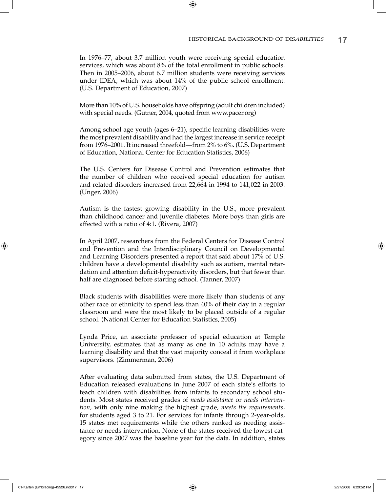In 1976–77, about 3.7 million youth were receiving special education services, which was about 8% of the total enrollment in public schools. Then in 2005–2006, about 6.7 million students were receiving services under IDEA, which was about 14% of the public school enrollment. (U.S. Department of Education, 2007)

More than 10% of U.S. households have offspring (adult children included) with special needs. (Gutner, 2004, quoted from www.pacer.org)

Among school age youth (ages 6–21), specific learning disabilities were the most prevalent disability and had the largest increase in service receipt from 1976–2001. It increased threefold—from 2% to 6%. (U.S. Department of Education, National Center for Education Statistics, 2006)

The U.S. Centers for Disease Control and Prevention estimates that the number of children who received special education for autism and related disorders increased from 22,664 in 1994 to 141,022 in 2003. (Unger, 2006)

Autism is the fastest growing disability in the U.S., more prevalent than childhood cancer and juvenile diabetes. More boys than girls are affected with a ratio of 4:1. (Rivera, 2007)

In April 2007, researchers from the Federal Centers for Disease Control and Prevention and the Interdisciplinary Council on Developmental and Learning Disorders presented a report that said about 17% of U.S. children have a developmental disability such as autism, mental retardation and attention deficit-hyperactivity disorders, but that fewer than half are diagnosed before starting school. (Tanner, 2007)

Black students with disabilities were more likely than students of any other race or ethnicity to spend less than 40% of their day in a regular classroom and were the most likely to be placed outside of a regular school. (National Center for Education Statistics, 2005)

Lynda Price, an associate professor of special education at Temple University, estimates that as many as one in 10 adults may have a learning disability and that the vast majority conceal it from workplace supervisors. (Zimmerman, 2006)

After evaluating data submitted from states, the U.S. Department of Education released evaluations in June 2007 of each state's efforts to teach children with disabilities from infants to secondary school students. Most states received grades of *needs assistance* or *needs intervention,* with only nine making the highest grade, *meets the requirements,* for students aged 3 to 21. For services for infants through 2-year-olds, 15 states met requirements while the others ranked as needing assistance or needs intervention. None of the states received the lowest category since 2007 was the baseline year for the data. In addition, states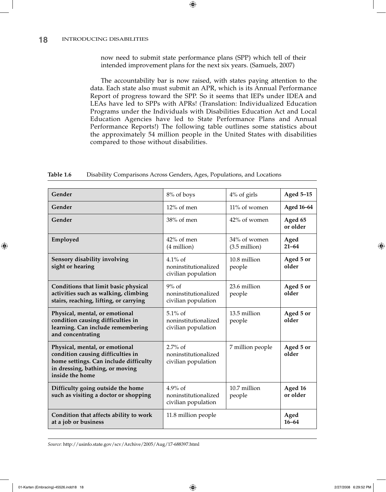now need to submit state performance plans (SPP) which tell of their intended improvement plans for the next six years. (Samuels, 2007)

The accountability bar is now raised, with states paying attention to the data. Each state also must submit an APR, which is its Annual Performance Report of progress toward the SPP. So it seems that IEPs under IDEA and LEAs have led to SPPs with APRs! (Translation: Individualized Education Programs under the Individuals with Disabilities Education Act and Local Education Agencies have led to State Performance Plans and Annual Performance Reports!) The following table outlines some statistics about the approximately 54 million people in the United States with disabilities compared to those without disabilities.

| Table 1.6 | Disability Comparisons Across Genders, Ages, Populations, and Locations |  |  |  |  |
|-----------|-------------------------------------------------------------------------|--|--|--|--|
|-----------|-------------------------------------------------------------------------|--|--|--|--|

| Gender                                                                                                                                                             | 8% of boys                                                | $4\%$ of girls                          | Aged 5-15           |
|--------------------------------------------------------------------------------------------------------------------------------------------------------------------|-----------------------------------------------------------|-----------------------------------------|---------------------|
| Gender                                                                                                                                                             | $12\%$ of men                                             | 11% of women                            | Aged 16-64          |
| Gender                                                                                                                                                             | 38% of men                                                | 42% of women                            | Aged 65<br>or older |
| Employed                                                                                                                                                           | $42\%$ of men<br>(4 million)                              | 34% of women<br>$(3.5 \text{ million})$ | Aged<br>$21 - 64$   |
| Sensory disability involving<br>sight or hearing                                                                                                                   | $4.1\%$ of<br>noninstitutionalized<br>civilian population | 10.8 million<br>people                  | Aged 5 or<br>older  |
| Conditions that limit basic physical<br>activities such as walking, climbing<br>stairs, reaching, lifting, or carrying                                             | $9%$ of<br>noninstitutionalized<br>civilian population    | 23.6 million<br>people                  | Aged 5 or<br>older  |
| Physical, mental, or emotional<br>condition causing difficulties in<br>learning. Can include remembering<br>and concentrating                                      | $5.1\%$ of<br>noninstitutionalized<br>civilian population | 13.5 million<br>people                  | Aged 5 or<br>older  |
| Physical, mental, or emotional<br>condition causing difficulties in<br>home settings. Can include difficulty<br>in dressing, bathing, or moving<br>inside the home | $2.7\%$ of<br>noninstitutionalized<br>civilian population | 7 million people                        | Aged 5 or<br>older  |
| Difficulty going outside the home<br>such as visiting a doctor or shopping                                                                                         | $4.9\%$ of<br>noninstitutionalized<br>civilian population | 10.7 million<br>people                  | Aged 16<br>or older |
| Condition that affects ability to work<br>at a job or business                                                                                                     | 11.8 million people                                       |                                         | Aged<br>$16 - 64$   |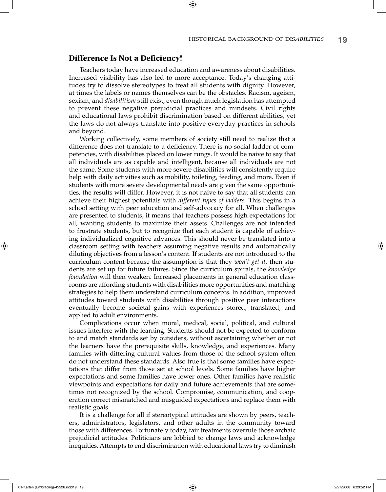#### **Difference Is Not a Deficiency!**

Teachers today have increased education and awareness about disabilities. Increased visibility has also led to more acceptance. Today's changing attitudes try to dissolve stereotypes to treat all students with dignity. However, at times the labels or names themselves can be the obstacles. Racism, ageism, sexism, and *disabilitism* still exist, even though much legislation has attempted to prevent these negative prejudicial practices and mindsets. Civil rights and educational laws prohibit discrimination based on different abilities, yet the laws do not always translate into positive everyday practices in schools and beyond.

Working collectively, some members of society still need to realize that a difference does not translate to a deficiency. There is no social ladder of competencies, with disabilities placed on lower rungs. It would be naive to say that all individuals are as capable and intelligent, because all individuals are not the same. Some students with more severe disabilities will consistently require help with daily activities such as mobility, toileting, feeding, and more. Even if students with more severe developmental needs are given the same opportunities, the results will differ. However, it is not naive to say that all students can achieve their highest potentials with *different types of ladders.* This begins in a school setting with peer education and self-advocacy for all. When challenges are presented to students, it means that teachers possess high expectations for all, wanting students to maximize their assets. Challenges are not intended to frustrate students, but to recognize that each student is capable of achieving individualized cognitive advances. This should never be translated into a classroom setting with teachers assuming negative results and automatically diluting objectives from a lesson's content. If students are not introduced to the curriculum content because the assumption is that they *won't get it,* then students are set up for future failures. Since the curriculum spirals, the *knowledge foundation* will then weaken. Increased placements in general education classrooms are affording students with disabilities more opportunities and matching strategies to help them understand curriculum concepts. In addition, improved attitudes toward students with disabilities through positive peer interactions eventually become societal gains with experiences stored, translated, and applied to adult environments.

Complications occur when moral, medical, social, political, and cultural issues interfere with the learning. Students should not be expected to conform to and match standards set by outsiders, without ascertaining whether or not the learners have the prerequisite skills, knowledge, and experiences. Many families with differing cultural values from those of the school system often do not understand these standards. Also true is that some families have expectations that differ from those set at school levels. Some families have higher expectations and some families have lower ones. Other families have realistic viewpoints and expectations for daily and future achievements that are sometimes not recognized by the school. Compromise, communication, and cooperation correct mismatched and misguided expectations and replace them with realistic goals.

It is a challenge for all if stereotypical attitudes are shown by peers, teachers, administrators, legislators, and other adults in the community toward those with differences. Fortunately today, fair treatments overrule those archaic prejudicial attitudes. Politicians are lobbied to change laws and acknowledge inequities. Attempts to end discrimination with educational laws try to diminish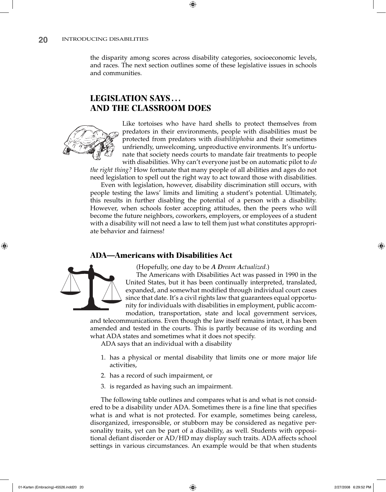the disparity among scores across disability categories, socioeconomic levels, and races. The next section outlines some of these legislative issues in schools and communities.

# **LEGISLATION SAYS . . . AND THE CLASSROOM DOES**



Like tortoises who have hard shells to protect themselves from predators in their environments, people with disabilities must be protected from predators with *disabilitiphobia* and their sometimes unfriendly, unwelcoming, unproductive environments. It's unfortunate that society needs courts to mandate fair treatments to people with disabilities. Why can't everyone just be on automatic pilot to *do* 

*the right thing?* How fortunate that many people of all abilities and ages do not need legislation to spell out the right way to act toward those with disabilities.

Even with legislation, however, disability discrimination still occurs, with people testing the laws' limits and limiting a student's potential. Ultimately, this results in further disabling the potential of a person with a disability. However, when schools foster accepting attitudes, then the peers who will become the future neighbors, coworkers, employers, or employees of a student with a disability will not need a law to tell them just what constitutes appropriate behavior and fairness!

# **ADA—Americans with Disabilities Act**



(Hopefully, one day to be *A Dream Actualized.*)

The Americans with Disabilities Act was passed in 1990 in the United States, but it has been continually interpreted, translated, expanded, and somewhat modified through individual court cases since that date. It's a civil rights law that guarantees equal opportunity for individuals with disabilities in employment, public accom-

modation, transportation, state and local government services, and telecommunications. Even though the law itself remains intact, it has been amended and tested in the courts. This is partly because of its wording and what ADA states and sometimes what it does not specify.

ADA says that an individual with a disability

- 1. has a physical or mental disability that limits one or more major life activities,
- 2. has a record of such impairment, or
- 3. is regarded as having such an impairment.

The following table outlines and compares what is and what is not considered to be a disability under ADA. Sometimes there is a fine line that specifies what is and what is not protected. For example, sometimes being careless, disorganized, irresponsible, or stubborn may be considered as negative personality traits, yet can be part of a disability, as well. Students with oppositional defiant disorder or AD/HD may display such traits. ADA affects school settings in various circumstances. An example would be that when students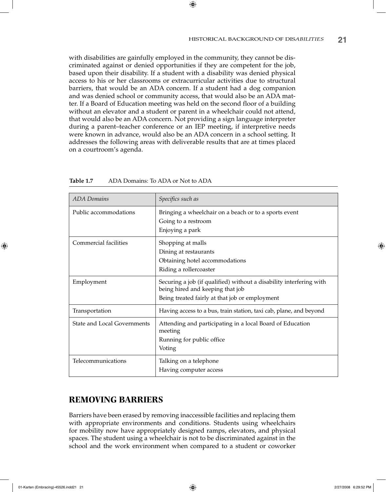with disabilities are gainfully employed in the community, they cannot be discriminated against or denied opportunities if they are competent for the job, based upon their disability. If a student with a disability was denied physical access to his or her classrooms or extracurricular activities due to structural barriers, that would be an ADA concern. If a student had a dog companion and was denied school or community access, that would also be an ADA matter. If a Board of Education meeting was held on the second floor of a building without an elevator and a student or parent in a wheelchair could not attend, that would also be an ADA concern. Not providing a sign language interpreter during a parent–teacher conference or an IEP meeting, if interpretive needs were known in advance, would also be an ADA concern in a school setting. It addresses the following areas with deliverable results that are at times placed on a courtroom's agenda.

| <b>ADA</b> Domains                 | Specifics such as                                                                                                                                         |
|------------------------------------|-----------------------------------------------------------------------------------------------------------------------------------------------------------|
| Public accommodations              | Bringing a wheelchair on a beach or to a sports event<br>Going to a restroom<br>Enjoying a park                                                           |
| Commercial facilities              | Shopping at malls<br>Dining at restaurants<br>Obtaining hotel accommodations<br>Riding a rollercoaster                                                    |
| Employment                         | Securing a job (if qualified) without a disability interfering with<br>being hired and keeping that job<br>Being treated fairly at that job or employment |
| Transportation                     | Having access to a bus, train station, taxi cab, plane, and beyond                                                                                        |
| <b>State and Local Governments</b> | Attending and participating in a local Board of Education<br>meeting<br>Running for public office<br>Voting                                               |
| Telecommunications                 | Talking on a telephone<br>Having computer access                                                                                                          |

**Table 1.7** ADA Domains: To ADA or Not to ADA

# **REMOVING BARRIERS**

Barriers have been erased by removing inaccessible facilities and replacing them with appropriate environments and conditions. Students using wheelchairs for mobility now have appropriately designed ramps, elevators, and physical spaces. The student using a wheelchair is not to be discriminated against in the school and the work environment when compared to a student or coworker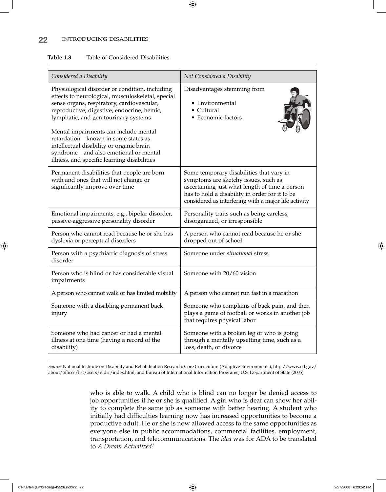| Considered a Disability                                                                                                                                                                                                                                                                                                                                                                                                                                     | Not Considered a Disability                                                                                                                                                                                                                  |  |  |
|-------------------------------------------------------------------------------------------------------------------------------------------------------------------------------------------------------------------------------------------------------------------------------------------------------------------------------------------------------------------------------------------------------------------------------------------------------------|----------------------------------------------------------------------------------------------------------------------------------------------------------------------------------------------------------------------------------------------|--|--|
| Physiological disorder or condition, including<br>effects to neurological, musculoskeletal, special<br>sense organs, respiratory, cardiovascular,<br>reproductive, digestive, endocrine, hemic,<br>lymphatic, and genitourinary systems<br>Mental impairments can include mental<br>retardation-known in some states as<br>intellectual disability or organic brain<br>syndrome-and also emotional or mental<br>illness, and specific learning disabilities | Disadvantages stemming from<br>• Environmental<br>• Cultural<br>• Economic factors                                                                                                                                                           |  |  |
| Permanent disabilities that people are born<br>with and ones that will not change or<br>significantly improve over time                                                                                                                                                                                                                                                                                                                                     | Some temporary disabilities that vary in<br>symptoms are sketchy issues, such as<br>ascertaining just what length of time a person<br>has to hold a disability in order for it to be<br>considered as interfering with a major life activity |  |  |
| Emotional impairments, e.g., bipolar disorder,<br>passive-aggressive personality disorder                                                                                                                                                                                                                                                                                                                                                                   | Personality traits such as being careless,<br>disorganized, or irresponsible                                                                                                                                                                 |  |  |
| Person who cannot read because he or she has<br>dyslexia or perceptual disorders                                                                                                                                                                                                                                                                                                                                                                            | A person who cannot read because he or she<br>dropped out of school                                                                                                                                                                          |  |  |
| Person with a psychiatric diagnosis of stress<br>disorder                                                                                                                                                                                                                                                                                                                                                                                                   | Someone under situational stress                                                                                                                                                                                                             |  |  |
| Person who is blind or has considerable visual<br>impairments                                                                                                                                                                                                                                                                                                                                                                                               | Someone with 20/60 vision                                                                                                                                                                                                                    |  |  |
| A person who cannot walk or has limited mobility                                                                                                                                                                                                                                                                                                                                                                                                            | A person who cannot run fast in a marathon                                                                                                                                                                                                   |  |  |
| Someone with a disabling permanent back<br>injury                                                                                                                                                                                                                                                                                                                                                                                                           | Someone who complains of back pain, and then<br>plays a game of football or works in another job<br>that requires physical labor                                                                                                             |  |  |
| Someone who had cancer or had a mental<br>illness at one time (having a record of the<br>disability)                                                                                                                                                                                                                                                                                                                                                        | Someone with a broken leg or who is going<br>through a mentally upsetting time, such as a<br>loss, death, or divorce                                                                                                                         |  |  |

*Source:* National Institute on Disability and Rehabilitation Research: Core Curriculum (Adaptive Environments), http://www.ed.gov/ about/offices/list/osers/nidrr/index.html, and Bureau of International Information Programs, U.S. Department of State (2005).

> who is able to walk. A child who is blind can no longer be denied access to job opportunities if he or she is qualified. A girl who is deaf can show her ability to complete the same job as someone with better hearing. A student who initially had difficulties learning now has increased opportunities to become a productive adult. He or she is now allowed access to the same opportunities as everyone else in public accommodations, commercial facilities, employment, transportation, and telecommunications. The *idea* was for ADA to be translated to *A Dream Actualized!*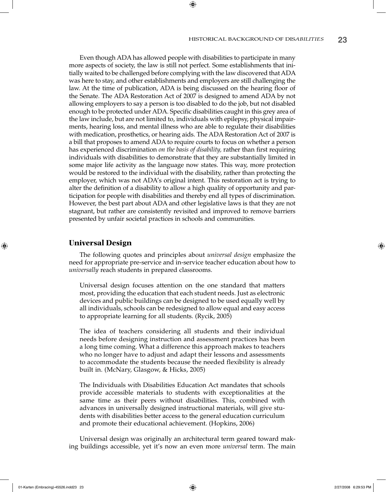Even though ADA has allowed people with disabilities to participate in many more aspects of society, the law is still not perfect. Some establishments that initially waited to be challenged before complying with the law discovered that ADA was here to stay, and other establishments and employers are still challenging the law. At the time of publication, ADA is being discussed on the hearing floor of the Senate. The ADA Restoration Act of 2007 is designed to amend ADA by not allowing employers to say a person is too disabled to do the job, but not disabled enough to be protected under ADA. Specific disabilities caught in this grey area of the law include, but are not limited to, individuals with epilepsy, physical impairments, hearing loss, and mental illness who are able to regulate their disabilities with medication, prosthetics, or hearing aids. The ADA Restoration Act of 2007 is a bill that proposes to amend ADA to require courts to focus on whether a person has experienced discrimination *on the basis of disability,* rather than first requiring individuals with disabilities to demonstrate that they are substantially limited in some major life activity as the language now states. This way, more protection would be restored to the individual with the disability, rather than protecting the employer, which was not ADA's original intent. This restoration act is trying to alter the definition of a disability to allow a high quality of opportunity and participation for people with disabilities and thereby end all types of discrimination. However, the best part about ADA and other legislative laws is that they are not stagnant, but rather are consistently revisited and improved to remove barriers presented by unfair societal practices in schools and communities.

#### **Universal Design**

The following quotes and principles about *universal design* emphasize the need for appropriate pre-service and in-service teacher education about how to *universally* reach students in prepared classrooms.

Universal design focuses attention on the one standard that matters most, providing the education that each student needs. Just as electronic devices and public buildings can be designed to be used equally well by all individuals, schools can be redesigned to allow equal and easy access to appropriate learning for all students. (Rycik, 2005)

The idea of teachers considering all students and their individual needs before designing instruction and assessment practices has been a long time coming. What a difference this approach makes to teachers who no longer have to adjust and adapt their lessons and assessments to accommodate the students because the needed flexibility is already built in. (McNary, Glasgow, & Hicks, 2005)

The Individuals with Disabilities Education Act mandates that schools provide accessible materials to students with exceptionalities at the same time as their peers without disabilities. This, combined with advances in universally designed instructional materials, will give students with disabilities better access to the general education curriculum and promote their educational achievement. (Hopkins, 2006)

Universal design was originally an architectural term geared toward making buildings accessible, yet it's now an even more *universal* term. The main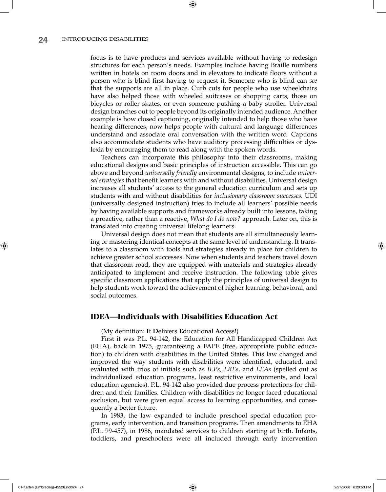focus is to have products and services available without having to redesign structures for each person's needs. Examples include having Braille numbers written in hotels on room doors and in elevators to indicate floors without a person who is blind first having to request it. Someone who is blind can *see*  that the supports are all in place. Curb cuts for people who use wheelchairs have also helped those with wheeled suitcases or shopping carts, those on bicycles or roller skates, or even someone pushing a baby stroller. Universal design branches out to people beyond its originally intended audience. Another example is how closed captioning, originally intended to help those who have hearing differences, now helps people with cultural and language differences understand and associate oral conversation with the written word. Captions also accommodate students who have auditory processing difficulties or dyslexia by encouraging them to read along with the spoken words.

Teachers can incorporate this philosophy into their classrooms, making educational designs and basic principles of instruction accessible. This can go above and beyond *universally friendly* environmental designs, to include *universal strategies* that benefit learners with and without disabilities. Universal design increases all students' access to the general education curriculum and sets up students with and without disabilities for *inclusionary classroom successes.* UDI (universally designed instruction) tries to include all learners' possible needs by having available supports and frameworks already built into lessons, taking a proactive, rather than a reactive, *What do I do now?* approach. Later on, this is translated into creating universal lifelong learners.

Universal design does not mean that students are all simultaneously learning or mastering identical concepts at the same level of understanding. It translates to a classroom with tools and strategies already in place for children to achieve greater school successes. Now when students and teachers travel down that classroom road, they are equipped with materials and strategies already anticipated to implement and receive instruction. The following table gives specific classroom applications that apply the principles of universal design to help students work toward the achievement of higher learning, behavioral, and social outcomes.

#### **IDEA—Individuals with Disabilities Education Act**

(My definition: **I**t **D**elivers **E**ducational **A**ccess!)

First it was P.L. 94-142, the Education for All Handicapped Children Act (EHA), back in 1975, guaranteeing a FAPE (free, appropriate public education) to children with disabilities in the United States. This law changed and improved the way students with disabilities were identified, educated, and evaluated with trios of initials such as *IEPs, LREs,* and *LEAs* (spelled out as individualized education programs, least restrictive environments, and local education agencies). P.L. 94-142 also provided due process protections for children and their families. Children with disabilities no longer faced educational exclusion, but were given equal access to learning opportunities, and consequently a better future.

In 1983, the law expanded to include preschool special education programs, early intervention, and transition programs. Then amendments to EHA (P.L. 99-457), in 1986, mandated services to children starting at birth. Infants, toddlers, and preschoolers were all included through early intervention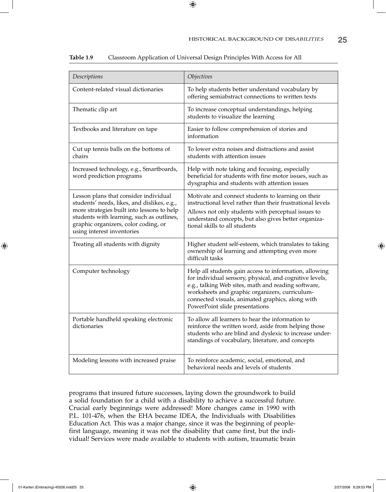| Descriptions                                                                                                                                                                                                                                          | Objectives                                                                                                                                                                                                                                                                                                       |  |
|-------------------------------------------------------------------------------------------------------------------------------------------------------------------------------------------------------------------------------------------------------|------------------------------------------------------------------------------------------------------------------------------------------------------------------------------------------------------------------------------------------------------------------------------------------------------------------|--|
| Content-related visual dictionaries                                                                                                                                                                                                                   | To help students better understand vocabulary by<br>offering semiabstract connections to written texts                                                                                                                                                                                                           |  |
| Thematic clip art                                                                                                                                                                                                                                     | To increase conceptual understandings, helping<br>students to visualize the learning                                                                                                                                                                                                                             |  |
| Textbooks and literature on tape                                                                                                                                                                                                                      | Easier to follow comprehension of stories and<br>information                                                                                                                                                                                                                                                     |  |
| Cut up tennis balls on the bottoms of<br>chairs                                                                                                                                                                                                       | To lower extra noises and distractions and assist<br>students with attention issues                                                                                                                                                                                                                              |  |
| Increased technology, e.g., Smartboards,<br>word prediction programs                                                                                                                                                                                  | Help with note taking and focusing, especially<br>beneficial for students with fine motor issues, such as<br>dysgraphia and students with attention issues                                                                                                                                                       |  |
| Lesson plans that consider individual<br>students' needs, likes, and dislikes, e.g.,<br>more strategies built into lessons to help<br>students with learning, such as outlines,<br>graphic organizers, color coding, or<br>using interest inventories | Motivate and connect students to learning on their<br>instructional level rather than their frustrational levels<br>Allows not only students with perceptual issues to<br>understand concepts, but also gives better organiza-<br>tional skills to all students                                                  |  |
| Treating all students with dignity                                                                                                                                                                                                                    | Higher student self-esteem, which translates to taking<br>ownership of learning and attempting even more<br>difficult tasks                                                                                                                                                                                      |  |
| Computer technology                                                                                                                                                                                                                                   | Help all students gain access to information, allowing<br>for individual sensory, physical, and cognitive levels,<br>e.g., talking Web sites, math and reading software,<br>worksheets and graphic organizers, curriculum-<br>connected visuals, animated graphics, along with<br>PowerPoint slide presentations |  |
| Portable handheld speaking electronic<br>dictionaries                                                                                                                                                                                                 | To allow all learners to hear the information to<br>reinforce the written word, aside from helping those<br>students who are blind and dyslexic to increase under-<br>standings of vocabulary, literature, and concepts                                                                                          |  |
| Modeling lessons with increased praise                                                                                                                                                                                                                | To reinforce academic, social, emotional, and<br>behavioral needs and levels of students                                                                                                                                                                                                                         |  |

**Table 1.9** Classroom Application of Universal Design Principles With Access for All

programs that insured future successes, laying down the groundwork to build a solid foundation for a child with a disability to achieve a successful future. Crucial early beginnings were addressed! More changes came in 1990 with P.L. 101-476, when the EHA became IDEA, the Individuals with Disabilities Education Act. This was a major change, since it was the beginning of peoplefirst language, meaning it was not the disability that came first, but the individual! Services were made available to students with autism, traumatic brain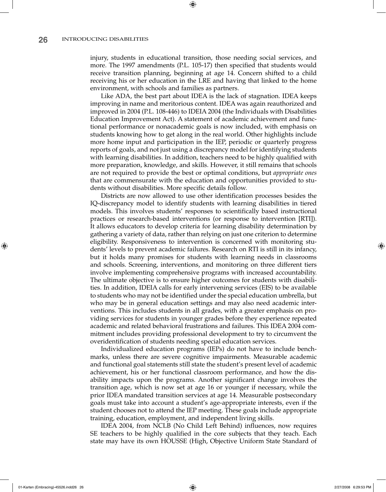injury, students in educational transition, those needing social services, and more. The 1997 amendments (P.L. 105-17) then specified that students would receive transition planning, beginning at age 14. Concern shifted to a child receiving his or her education in the LRE and having that linked to the home environment, with schools and families as partners.

Like ADA, the best part about IDEA is the lack of stagnation. IDEA keeps improving in name and meritorious content. IDEA was again reauthorized and improved in 2004 (P.L. 108-446) to IDEIA 2004 (the Individuals with Disabilities Education Improvement Act). A statement of academic achievement and functional performance or nonacademic goals is now included, with emphasis on students knowing how to get along in the real world. Other highlights include more home input and participation in the IEP, periodic or quarterly progress reports of goals, and not just using a discrepancy model for identifying students with learning disabilities. In addition, teachers need to be highly qualified with more preparation, knowledge, and skills. However, it still remains that schools are not required to provide the best or optimal conditions, but *appropriate ones* that are commensurate with the education and opportunities provided to students without disabilities. More specific details follow.

Districts are now allowed to use other identification processes besides the IQ-discrepancy model to identify students with learning disabilities in tiered models. This involves students' responses to scientifically based instructional practices or research-based interventions (or response to intervention [RTI]). It allows educators to develop criteria for learning disability determination by gathering a variety of data, rather than relying on just one criterion to determine eligibility. Responsiveness to intervention is concerned with monitoring students' levels to prevent academic failures. Research on RTI is still in its infancy, but it holds many promises for students with learning needs in classrooms and schools. Screening, interventions, and monitoring on three different tiers involve implementing comprehensive programs with increased accountability. The ultimate objective is to ensure higher outcomes for students with disabilities. In addition, IDEIA calls for early intervening services (EIS) to be available to students who may not be identified under the special education umbrella, but who may be in general education settings and may also need academic interventions. This includes students in all grades, with a greater emphasis on providing services for students in younger grades before they experience repeated academic and related behavioral frustrations and failures. This IDEA 2004 commitment includes providing professional development to try to circumvent the overidentification of students needing special education services.

Individualized education programs (IEPs) do not have to include benchmarks, unless there are severe cognitive impairments. Measurable academic and functional goal statements still state the student's present level of academic achievement, his or her functional classroom performance, and how the disability impacts upon the programs. Another significant change involves the transition age, which is now set at age 16 or younger if necessary, while the prior IDEA mandated transition services at age 14. Measurable postsecondary goals must take into account a student's age-appropriate interests, even if the student chooses not to attend the IEP meeting. These goals include appropriate training, education, employment, and independent living skills.

IDEA 2004, from NCLB (No Child Left Behind) influences, now requires SE teachers to be highly qualified in the core subjects that they teach. Each state may have its own HOUSSE (High, Objective Uniform State Standard of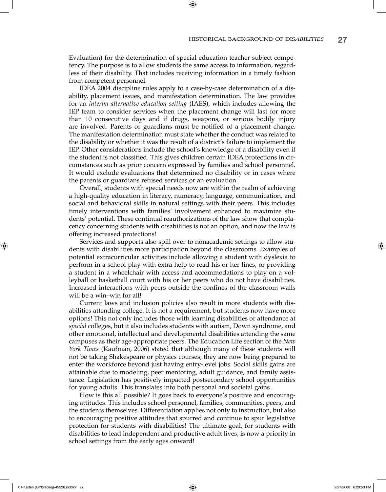Evaluation) for the determination of special education teacher subject competency. The purpose is to allow students the same access to information, regardless of their disability. That includes receiving information in a timely fashion from competent personnel.

IDEA 2004 discipline rules apply to a case-by-case determination of a disability, placement issues, and manifestation determination. The law provides for an *interim alternative education setting* (IAES), which includes allowing the IEP team to consider services when the placement change will last for more than 10 consecutive days and if drugs, weapons, or serious bodily injury are involved. Parents or guardians must be notified of a placement change. The manifestation determination must state whether the conduct was related to the disability or whether it was the result of a district's failure to implement the IEP. Other considerations include the school's knowledge of a disability even if the student is not classified. This gives children certain IDEA protections in circumstances such as prior concern expressed by families and school personnel. It would exclude evaluations that determined no disability or in cases where the parents or guardians refused services or an evaluation.

Overall, students with special needs now are within the realm of achieving a high-quality education in literacy, numeracy, language, communication, and social and behavioral skills in natural settings with their peers. This includes timely interventions with families' involvement enhanced to maximize students' potential. These continual reauthorizations of the law show that complacency concerning students with disabilities is not an option, and now the law is offering increased protections!

Services and supports also spill over to nonacademic settings to allow students with disabilities more participation beyond the classrooms. Examples of potential extracurricular activities include allowing a student with dyslexia to perform in a school play with extra help to read his or her lines, or providing a student in a wheelchair with access and accommodations to play on a volleyball or basketball court with his or her peers who do not have disabilities. Increased interactions with peers outside the confines of the classroom walls will be a win–win for all!

Current laws and inclusion policies also result in more students with disabilities attending college. It is not a requirement, but students now have more options! This not only includes those with learning disabilities or attendance at *special* colleges, but it also includes students with autism, Down syndrome, and other emotional, intellectual and developmental disabilities attending the same campuses as their age-appropriate peers. The Education Life section of the *New York Times* (Kaufman, 2006) stated that although many of these students will not be taking Shakespeare or physics courses, they are now being prepared to enter the workforce beyond just having entry-level jobs. Social skills gains are attainable due to modeling, peer mentoring, adult guidance, and family assistance. Legislation has positively impacted postsecondary school opportunities for young adults. This translates into both personal and societal gains.

How is this all possible? It goes back to everyone's positive and encouraging attitudes. This includes school personnel, families, communities, peers, and the students themselves. Differentiation applies not only to instruction, but also to encouraging positive attitudes that spurred and continue to spur legislative protection for students with disabilities! The ultimate goal, for students with disabilities to lead independent and productive adult lives, is now a priority in school settings from the early ages onward!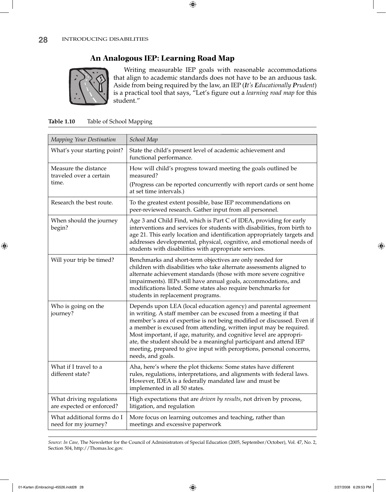# **An Analogous IEP: Learning Road Map**



Writing measurable IEP goals with reasonable accommodations that align to academic standards does not have to be an arduous task. Aside from being required by the law, an IEP (*It's Educationally Prudent*) is a practical tool that says, "Let's figure out a *learning road map* for this student."

| Table 1.10 | Table of School Mapping |
|------------|-------------------------|
|------------|-------------------------|

| Mapping Your Destination                                 | School Map                                                                                                                                                                                                                                                                                                                                                                                                                                                                                                                     |  |  |
|----------------------------------------------------------|--------------------------------------------------------------------------------------------------------------------------------------------------------------------------------------------------------------------------------------------------------------------------------------------------------------------------------------------------------------------------------------------------------------------------------------------------------------------------------------------------------------------------------|--|--|
| What's your starting point?                              | State the child's present level of academic achievement and<br>functional performance.                                                                                                                                                                                                                                                                                                                                                                                                                                         |  |  |
| Measure the distance<br>traveled over a certain<br>time. | How will child's progress toward meeting the goals outlined be<br>measured?<br>(Progress can be reported concurrently with report cards or sent home                                                                                                                                                                                                                                                                                                                                                                           |  |  |
| Research the best route.                                 | at set time intervals.)<br>To the greatest extent possible, base IEP recommendations on<br>peer-reviewed research. Gather input from all personnel.                                                                                                                                                                                                                                                                                                                                                                            |  |  |
| When should the journey<br>begin?                        | Age 3 and Child Find, which is Part C of IDEA, providing for early<br>interventions and services for students with disabilities, from birth to<br>age 21. This early location and identification appropriately targets and<br>addresses developmental, physical, cognitive, and emotional needs of<br>students with disabilities with appropriate services.                                                                                                                                                                    |  |  |
| Will your trip be timed?                                 | Benchmarks and short-term objectives are only needed for<br>children with disabilities who take alternate assessments aligned to<br>alternate achievement standards (those with more severe cognitive<br>impairments). IEPs still have annual goals, accommodations, and<br>modifications listed. Some states also require benchmarks for<br>students in replacement programs.                                                                                                                                                 |  |  |
| Who is going on the<br>journey?                          | Depends upon LEA (local education agency) and parental agreement<br>in writing. A staff member can be excused from a meeting if that<br>member's area of expertise is not being modified or discussed. Even if<br>a member is excused from attending, written input may be required.<br>Most important, if age, maturity, and cognitive level are appropri-<br>ate, the student should be a meaningful participant and attend IEP<br>meeting, prepared to give input with perceptions, personal concerns,<br>needs, and goals. |  |  |
| What if I travel to a<br>different state?                | Aha, here's where the plot thickens: Some states have different<br>rules, regulations, interpretations, and alignments with federal laws.<br>However, IDEA is a federally mandated law and must be<br>implemented in all 50 states.                                                                                                                                                                                                                                                                                            |  |  |
| What driving regulations<br>are expected or enforced?    | High expectations that are driven by results, not driven by process,<br>litigation, and regulation                                                                                                                                                                                                                                                                                                                                                                                                                             |  |  |
| What additional forms do I<br>need for my journey?       | More focus on learning outcomes and teaching, rather than<br>meetings and excessive paperwork                                                                                                                                                                                                                                                                                                                                                                                                                                  |  |  |

*Source*: *In Case,* The Newsletter for the Council of Administrators of Special Education (2005, September/October), Vol. 47, No. 2, Section 504, http://Thomas.loc.gov.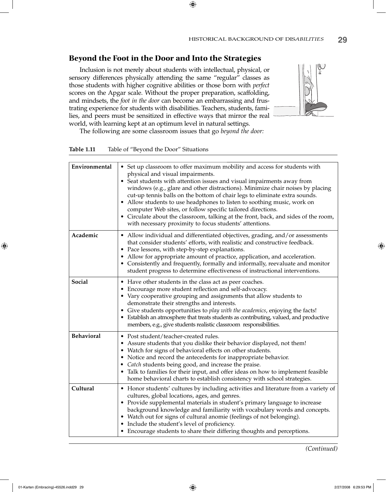# **Beyond the Foot in the Door and Into the Strategies**

Inclusion is not merely about students with intellectual, physical, or sensory differences physically attending the same "regular" classes as those students with higher cognitive abilities or those born with *perfect*  scores on the Apgar scale. Without the proper preparation, scaffolding, and mindsets, the *foot in the door* can become an embarrassing and frustrating experience for students with disabilities. Teachers, students, families, and peers must be sensitized in effective ways that mirror the real world, with learning kept at an optimum level in natural settings.



The following are some classroom issues that go *beyond the door:*

**Table 1.11** Table of "Beyond the Door" Situations

| Environmental     | • Set up classroom to offer maximum mobility and access for students with<br>physical and visual impairments.<br>• Seat students with attention issues and visual impairments away from<br>windows (e.g., glare and other distractions). Minimize chair noises by placing<br>cut-up tennis balls on the bottom of chair legs to eliminate extra sounds.<br>• Allow students to use headphones to listen to soothing music, work on<br>computer Web sites, or follow specific tailored directions.<br>• Circulate about the classroom, talking at the front, back, and sides of the room,<br>with necessary proximity to focus students' attentions. |
|-------------------|-----------------------------------------------------------------------------------------------------------------------------------------------------------------------------------------------------------------------------------------------------------------------------------------------------------------------------------------------------------------------------------------------------------------------------------------------------------------------------------------------------------------------------------------------------------------------------------------------------------------------------------------------------|
| Academic          | • Allow individual and differentiated objectives, grading, and/or assessments<br>that consider students' efforts, with realistic and constructive feedback.<br>• Pace lessons, with step-by-step explanations.<br>• Allow for appropriate amount of practice, application, and acceleration.<br>• Consistently and frequently, formally and informally, reevaluate and monitor<br>student progress to determine effectiveness of instructional interventions.                                                                                                                                                                                       |
| Social            | • Have other students in the class act as peer coaches.<br>• Encourage more student reflection and self-advocacy.<br>• Vary cooperative grouping and assignments that allow students to<br>demonstrate their strengths and interests.<br>• Give students opportunities to play with the academics, enjoying the facts!<br>• Establish an atmosphere that treats students as contributing, valued, and productive<br>members, e.g., give students realistic classroom responsibilities.                                                                                                                                                              |
| <b>Behavioral</b> | • Post student/teacher-created rules.<br>• Assure students that you dislike their behavior displayed, not them!<br>• Watch for signs of behavioral effects on other students.<br>• Notice and record the antecedents for inappropriate behavior.<br>• Catch students being good, and increase the praise.<br>• Talk to families for their input, and offer ideas on how to implement feasible<br>home behavioral charts to establish consistency with school strategies.                                                                                                                                                                            |
| Cultural          | • Honor students' cultures by including activities and literature from a variety of<br>cultures, global locations, ages, and genres.<br>• Provide supplemental materials in student's primary language to increase<br>background knowledge and familiarity with vocabulary words and concepts.<br>• Watch out for signs of cultural anomie (feelings of not belonging).<br>Include the student's level of proficiency.<br>Encourage students to share their differing thoughts and perceptions.                                                                                                                                                     |

*(Continued)*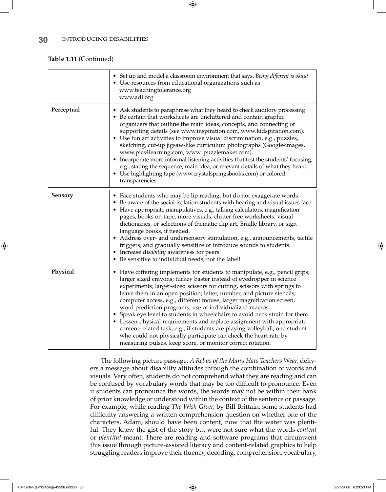#### **Table 1.11** (Continued)

|            | • Set up and model a classroom environment that says, Being different is okay!<br>• Use resources from educational organizations such as<br>www.teachingtolerance.org<br>www.adl.org                                                                                                                                                                                                                                                                                                                                                                                                                                                                                                                                                                                                                              |  |  |  |
|------------|-------------------------------------------------------------------------------------------------------------------------------------------------------------------------------------------------------------------------------------------------------------------------------------------------------------------------------------------------------------------------------------------------------------------------------------------------------------------------------------------------------------------------------------------------------------------------------------------------------------------------------------------------------------------------------------------------------------------------------------------------------------------------------------------------------------------|--|--|--|
| Perceptual | Ask students to paraphrase what they heard to check auditory processing.<br>• Be certain that worksheets are uncluttered and contain graphic<br>organizers that outline the main ideas, concepts, and connecting or<br>supporting details (see www.inspiration.com, www.kidspiration.com).<br>• Use fun art activities to improve visual discrimination, e.g., puzzles,<br>sketching, cut-up jigsaw-like curriculum photographs (Google-images,<br>www.pics4learning.com, www.puzzlemaker.com).<br>Incorporate more informal listening activities that test the students' focusing,<br>$\bullet$<br>e.g., stating the sequence, main idea, or relevant details of what they heard.<br>• Use highlighting tape (www.crystalspringsbooks.com) or colored<br>transparencies.                                         |  |  |  |
| Sensory    | • Face students who may be lip reading, but do not exaggerate words.<br>• Be aware of the social isolation students with hearing and visual issues face.<br>• Have appropriate manipulatives, e.g., talking calculators, magnification<br>pages, books on tape, more visuals, clutter-free worksheets, visual<br>dictionaries, or selections of thematic clip art, Braille library, or sign<br>language books, if needed.<br>• Address over- and undersensory stimulation, e.g., announcements, tactile<br>triggers, and gradually sensitize or introduce sounds to students.<br>• Increase disability awareness for peers.<br>• Be sensitive to individual needs, not the label!                                                                                                                                 |  |  |  |
| Physical   | • Have differing implements for students to manipulate, e.g., pencil grips;<br>larger sized crayons; turkey baster instead of eyedropper in science<br>experiments; larger-sized scissors for cutting, scissors with springs to<br>leave them in an open position; letter, number, and picture stencils;<br>computer access, e.g., different mouse, larger magnification screen,<br>word prediction programs, use of individualized macros.<br>Speak eye level to students in wheelchairs to avoid neck strain for them.<br>Lessen physical requirements and replace assignment with appropriate<br>content-related task, e.g., if students are playing volleyball, one student<br>who could not physically participate can check the heart rate by<br>measuring pulses, keep score, or monitor correct rotation. |  |  |  |

The following picture passage, *A Rebus of the Many Hats Teachers Wear,* delivers a message about disability attitudes through the combination of words and visuals. Very often, students do not comprehend what they are reading and can be confused by vocabulary words that may be too difficult to pronounce. Even if students can pronounce the words, the words may not be within their bank of prior knowledge or understood within the context of the sentence or passage. For example, while reading *The Wish Giver,* by Bill Brittain, some students had difficulty answering a written comprehension question on whether one of the characters, Adam, should have been content, now that the water was plentiful. They knew the gist of the story but were not sure what the words *content*  or *plentiful* meant. There are reading and software programs that circumvent this issue through picture-assisted literacy and content-related graphics to help struggling readers improve their fluency, decoding, comprehension, vocabulary,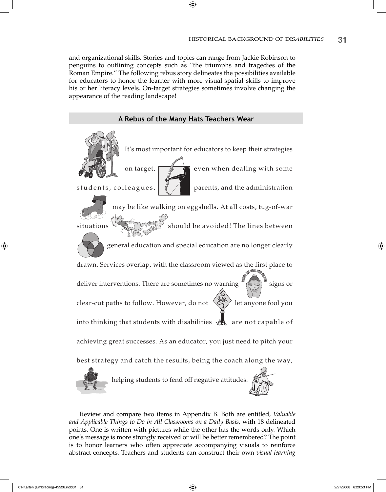and organizational skills. Stories and topics can range from Jackie Robinson to penguins to outlining concepts such as "the triumphs and tragedies of the Roman Empire." The following rebus story delineates the possibilities available for educators to honor the learner with more visual-spatial skills to improve his or her literacy levels. On-target strategies sometimes involve changing the appearance of the reading landscape!



Review and compare two items in Appendix B. Both are entitled*, Valuable and Applicable Things to Do in All Classrooms on a Daily Basis,* with 18 delineated points. One is written with pictures while the other has the words only. Which one's message is more strongly received or will be better remembered? The point is to honor learners who often appreciate accompanying visuals to reinforce abstract concepts. Teachers and students can construct their own *visual learning*